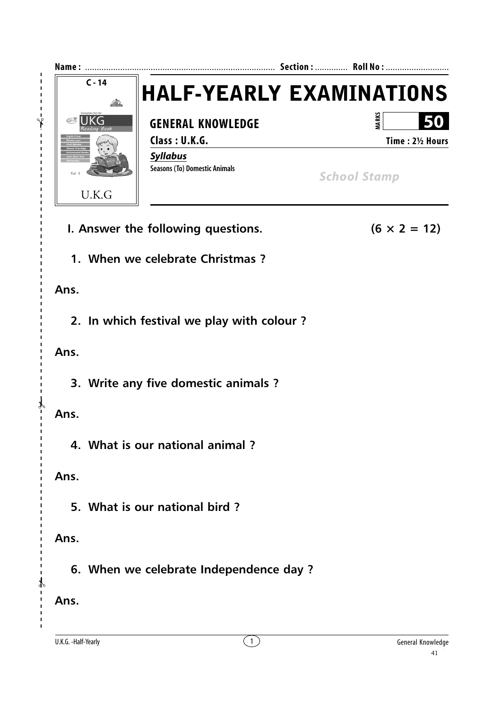

**1. When we celebrate Christmas ?**

#### **Ans.**

**2. In which festival we play with colour ?**

#### **Ans.**

**3. Write any five domestic animals ?**

### **Ans.**

✃

**4. What is our national animal ?**

### **Ans.**

**5. What is our national bird ?**

## **Ans.**

**6. When we celebrate Independence day ?**

# **Ans.**

✃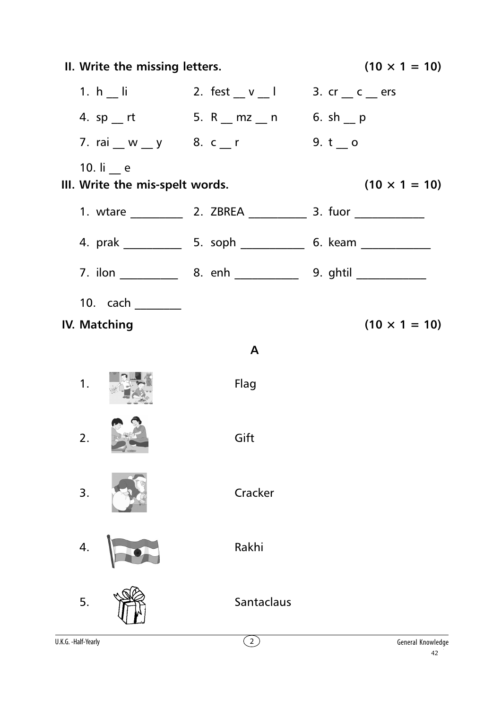| II. Write the missing letters.                 |                                            | $(10 \times 1 = 10)$    |
|------------------------------------------------|--------------------------------------------|-------------------------|
|                                                | 1. $h$   i 2. fest _ v _ l 3. cr _ c _ ers |                         |
|                                                | 4. sp __ rt 5. R __ mz __ n 6. sh __ p     |                         |
|                                                | 7. rai _ w _ y 8. c _ r 9. t _ o           |                         |
| 10. $I_1$ e<br>III. Write the mis-spelt words. |                                            | $(10 \times 1 = 10)$    |
|                                                |                                            |                         |
|                                                |                                            |                         |
|                                                |                                            |                         |
| 10. cach _________                             |                                            |                         |
| <b>IV. Matching</b>                            |                                            | $(10 \times 1 = 10)$    |
|                                                | $\mathbf{A}$                               |                         |
| 1.                                             | Flag                                       |                         |
| 2.                                             | Gift                                       |                         |
| 3.                                             | Cracker                                    |                         |
| 4.                                             | Rakhi                                      |                         |
| 5.                                             | Santaclaus                                 |                         |
| U.K.G. -Half-Yearly                            | $\overline{2}$                             | General Knowledge<br>42 |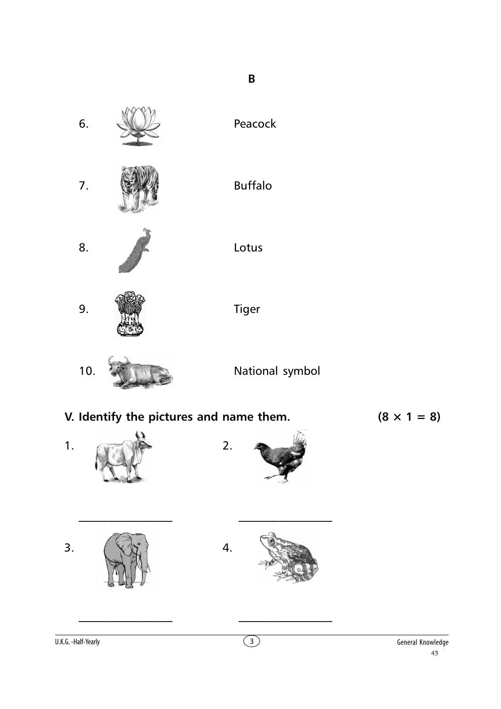